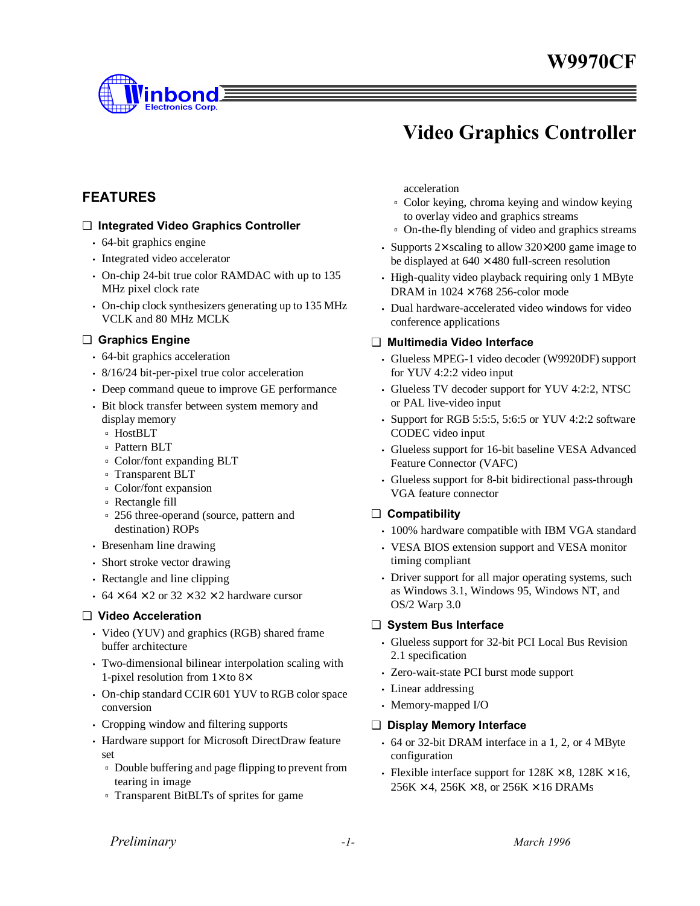

# **Video Graphics Controller**

## **FEATURES**

#### ❑ **Integrated Video Graphics Controller**

- 64-bit graphics engine
- Integrated video accelerator
- On-chip 24-bit true color RAMDAC with up to 135 MHz pixel clock rate
- On-chip clock synthesizers generating up to 135 MHz VCLK and 80 MHz MCLK

#### ❑ **Graphics Engine**

- 64-bit graphics acceleration
- 8/16/24 bit-per-pixel true color acceleration
- Deep command queue to improve GE performance
- Bit block transfer between system memory and display memory
	- ˙ HostBLT
	- ˙ Pattern BLT
	- ˙ Color/font expanding BLT
	- ˙ Transparent BLT
	- ˙ Color/font expansion
	- ˙ Rectangle fill
	- ˙ 256 three-operand (source, pattern and destination) ROPs
- Bresenham line drawing
- Short stroke vector drawing
- Rectangle and line clipping
- 64  $\times$  64  $\times$  2 or 32  $\times$  32  $\times$  2 hardware cursor

#### ❑ **Video Acceleration**

- Video (YUV) and graphics (RGB) shared frame buffer architecture
- Two-dimensional bilinear interpolation scaling with 1-pixel resolution from  $1\times$  to 8 $\times$
- On-chip standard CCIR 601 YUV to RGB color space conversion
- Cropping window and filtering supports
- Hardware support for Microsoft DirectDraw feature set
	- ˙ Double buffering and page flipping to prevent from tearing in image
	- ˙ Transparent BitBLTs of sprites for game

acceleration

- ˙ Color keying, chroma keying and window keying to overlay video and graphics streams
- ˙ On-the-fly blending of video and graphics streams
- Supports 2× scaling to allow 320×200 game image to be displayed at  $640 \times 480$  full-screen resolution
- High-quality video playback requiring only 1 MByte DRAM in  $1024 \times 768$  256-color mode
- Dual hardware-accelerated video windows for video conference applications

#### ❑ **Multimedia Video Interface**

- Glueless MPEG-1 video decoder (W9920DF) support for YUV 4:2:2 video input
- Glueless TV decoder support for YUV 4:2:2, NTSC or PAL live-video input
- Support for RGB 5:5:5, 5:6:5 or YUV 4:2:2 software CODEC video input
- Glueless support for 16-bit baseline VESA Advanced Feature Connector (VAFC)
- Glueless support for 8-bit bidirectional pass-through VGA feature connector

#### ❑ **Compatibility**

- 100% hardware compatible with IBM VGA standard
- VESA BIOS extension support and VESA monitor timing compliant
- Driver support for all major operating systems, such as Windows 3.1, Windows 95, Windows NT, and OS/2 Warp 3.0

#### ❑ **System Bus Interface**

- Glueless support for 32-bit PCI Local Bus Revision 2.1 specification
- Zero-wait-state PCI burst mode support
- Linear addressing
- Memory-mapped I/O

#### ❑ **Display Memory Interface**

- 64 or 32-bit DRAM interface in a 1, 2, or 4 MByte configuration
- Flexible interface support for  $128K \times 8$ ,  $128K \times 16$ ,  $256K \times 4$ ,  $256K \times 8$ , or  $256K \times 16$  DRAMs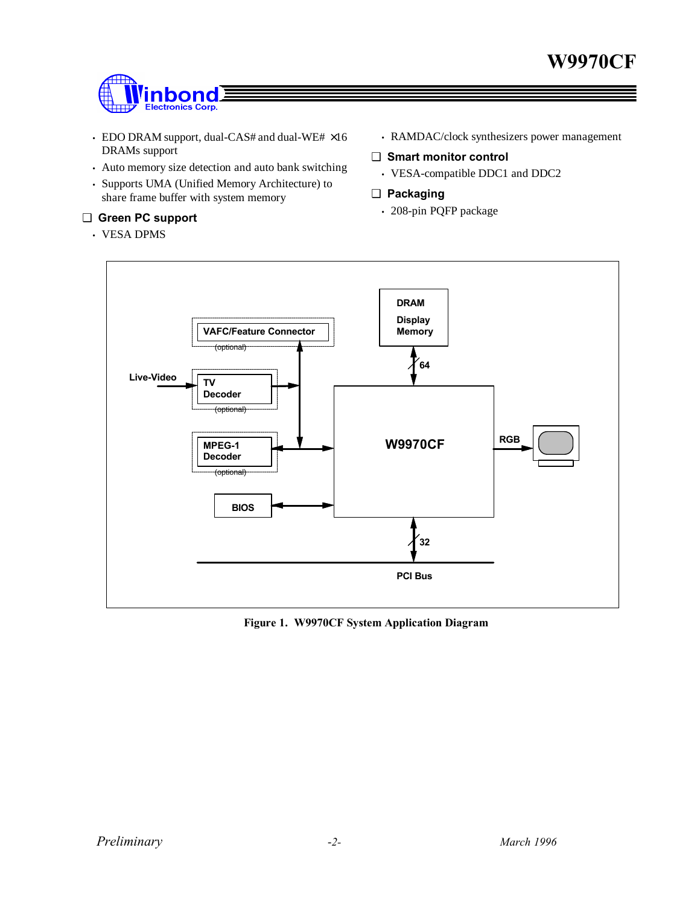

- EDO DRAM support, dual-CAS# and dual-WE# ×16 DRAMs support
- Auto memory size detection and auto bank switching
- Supports UMA (Unified Memory Architecture) to share frame buffer with system memory

#### ❑ **Green PC support**

• VESA DPMS

- RAMDAC/clock synthesizers power management
- ❑ **Smart monitor control**
	- VESA-compatible DDC1 and DDC2
- ❑ **Packaging**
	- 208-pin PQFP package



**Figure 1. W9970CF System Application Diagram**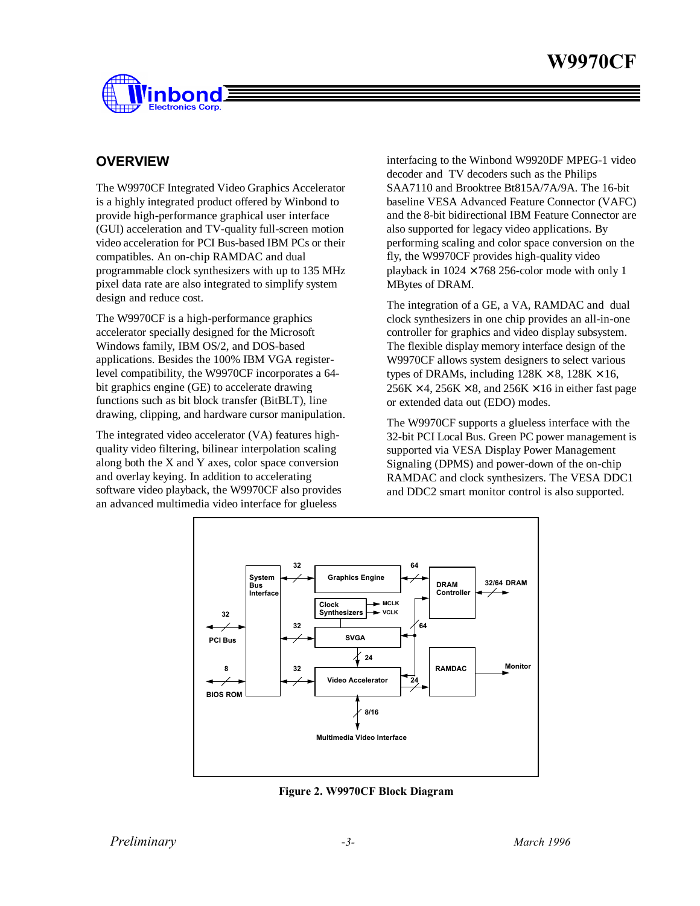

### **OVERVIEW**

The W9970CF Integrated Video Graphics Accelerator is a highly integrated product offered by Winbond to provide high-performance graphical user interface (GUI) acceleration and TV-quality full-screen motion video acceleration for PCI Bus-based IBM PCs or their compatibles. An on-chip RAMDAC and dual programmable clock synthesizers with up to 135 MHz pixel data rate are also integrated to simplify system design and reduce cost.

The W9970CF is a high-performance graphics accelerator specially designed for the Microsoft Windows family, IBM OS/2, and DOS-based applications. Besides the 100% IBM VGA registerlevel compatibility, the W9970CF incorporates a 64 bit graphics engine (GE) to accelerate drawing functions such as bit block transfer (BitBLT), line drawing, clipping, and hardware cursor manipulation.

The integrated video accelerator (VA) features highquality video filtering, bilinear interpolation scaling along both the X and Y axes, color space conversion and overlay keying. In addition to accelerating software video playback, the W9970CF also provides an advanced multimedia video interface for glueless

interfacing to the Winbond W9920DF MPEG-1 video decoder and TV decoders such as the Philips SAA7110 and Brooktree Bt815A/7A/9A. The 16-bit baseline VESA Advanced Feature Connector (VAFC) and the 8-bit bidirectional IBM Feature Connector are also supported for legacy video applications. By performing scaling and color space conversion on the fly, the W9970CF provides high-quality video playback in  $1024 \times 768$  256-color mode with only 1 MBytes of DRAM.

The integration of a GE, a VA, RAMDAC and dual clock synthesizers in one chip provides an all-in-one controller for graphics and video display subsystem. The flexible display memory interface design of the W9970CF allows system designers to select various types of DRAMs, including  $128K \times 8$ ,  $128K \times 16$ ,  $256K \times 4$ ,  $256K \times 8$ , and  $256K \times 16$  in either fast page or extended data out (EDO) modes.

The W9970CF supports a glueless interface with the 32-bit PCI Local Bus. Green PC power management is supported via VESA Display Power Management Signaling (DPMS) and power-down of the on-chip RAMDAC and clock synthesizers. The VESA DDC1 and DDC2 smart monitor control is also supported.



**Figure 2. W9970CF Block Diagram**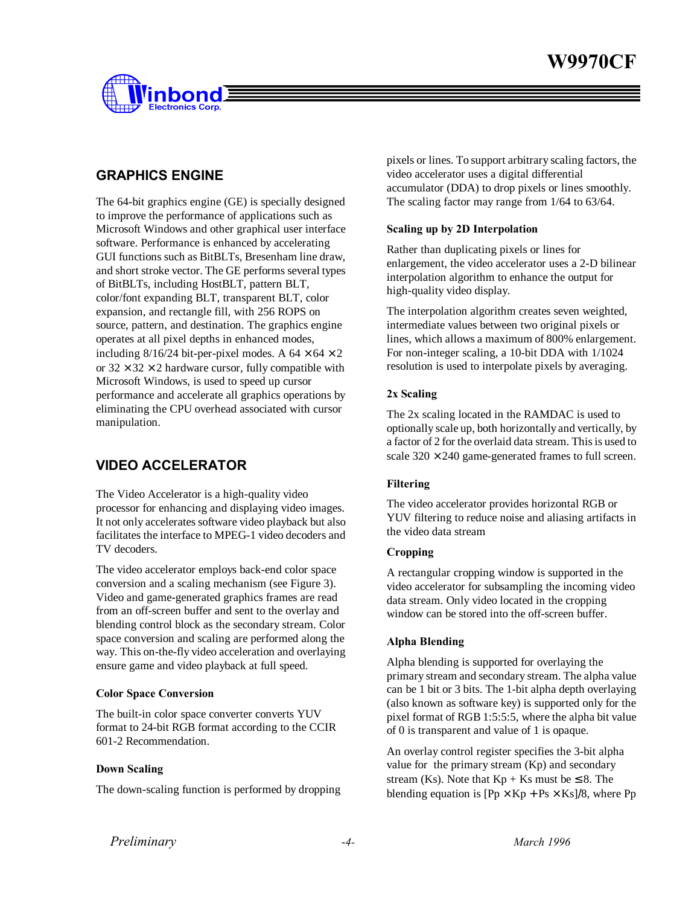

## **GRAPHICS ENGINE**

The 64-bit graphics engine (GE) is specially designed to improve the performance of applications such as Microsoft Windows and other graphical user interface software. Performance is enhanced by accelerating GUI functions such as BitBLTs, Bresenham line draw, and short stroke vector. The GE performs several types of BitBLTs, including HostBLT, pattern BLT, color/font expanding BLT, transparent BLT, color expansion, and rectangle fill, with 256 ROPS on source, pattern, and destination. The graphics engine operates at all pixel depths in enhanced modes, including  $8/16/24$  bit-per-pixel modes. A  $64 \times 64 \times 2$ or  $32 \times 32 \times 2$  hardware cursor, fully compatible with Microsoft Windows, is used to speed up cursor performance and accelerate all graphics operations by eliminating the CPU overhead associated with cursor manipulation.

## **VIDEO ACCELERATOR**

The Video Accelerator is a high-quality video processor for enhancing and displaying video images. It not only accelerates software video playback but also facilitates the interface to MPEG-1 video decoders and TV decoders.

The video accelerator employs back-end color space conversion and a scaling mechanism (see Figure 3). Video and game-generated graphics frames are read from an off-screen buffer and sent to the overlay and blending control block as the secondary stream. Color space conversion and scaling are performed along the way. This on-the-fly video acceleration and overlaying ensure game and video playback at full speed.

#### **Color Space Conversion**

The built-in color space converter converts YUV format to 24-bit RGB format according to the CCIR 601-2 Recommendation.

#### **Down Scaling**

The down-scaling function is performed by dropping

pixels or lines. To support arbitrary scaling factors, the video accelerator uses a digital differential accumulator (DDA) to drop pixels or lines smoothly. The scaling factor may range from 1/64 to 63/64.

#### **Scaling up by 2D Interpolation**

Rather than duplicating pixels or lines for enlargement, the video accelerator uses a 2-D bilinear interpolation algorithm to enhance the output for high-quality video display.

The interpolation algorithm creates seven weighted, intermediate values between two original pixels or lines, which allows a maximum of 800% enlargement. For non-integer scaling, a 10-bit DDA with 1/1024 resolution is used to interpolate pixels by averaging.

#### **2x Scaling**

The 2x scaling located in the RAMDAC is used to optionally scale up, both horizontally and vertically, by a factor of 2 for the overlaid data stream. This is used to scale  $320 \times 240$  game-generated frames to full screen.

#### **Filtering**

The video accelerator provides horizontal RGB or YUV filtering to reduce noise and aliasing artifacts in the video data stream

#### **Cropping**

A rectangular cropping window is supported in the video accelerator for subsampling the incoming video data stream. Only video located in the cropping window can be stored into the off-screen buffer.

#### **Alpha Blending**

Alpha blending is supported for overlaying the primary stream and secondary stream. The alpha value can be 1 bit or 3 bits. The 1-bit alpha depth overlaying (also known as software key) is supported only for the pixel format of RGB 1:5:5:5, where the alpha bit value of 0 is transparent and value of 1 is opaque.

An overlay control register specifies the 3-bit alpha value for the primary stream (Kp) and secondary stream (Ks). Note that  $Kp + Ks$  must be  $\leq 8$ . The blending equation is  $[Py \times Kp + Ps \times Ks]/8$ , where Pp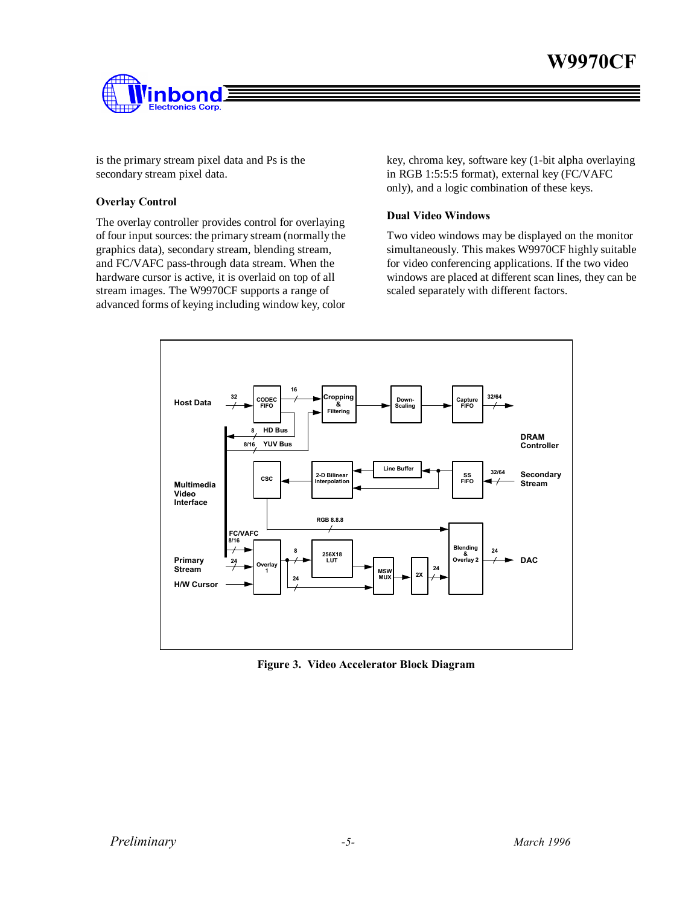## **W9970CF**



is the primary stream pixel data and Ps is the secondary stream pixel data.

#### **Overlay Control**

The overlay controller provides control for overlaying of four input sources: the primary stream (normally the graphics data), secondary stream, blending stream, and FC/VAFC pass-through data stream. When the hardware cursor is active, it is overlaid on top of all stream images. The W9970CF supports a range of advanced forms of keying including window key, color

key, chroma key, software key (1-bit alpha overlaying in RGB 1:5:5:5 format), external key (FC/VAFC only), and a logic combination of these keys.

#### **Dual Video Windows**

Two video windows may be displayed on the monitor simultaneously. This makes W9970CF highly suitable for video conferencing applications. If the two video windows are placed at different scan lines, they can be scaled separately with different factors.



**Figure 3. Video Accelerator Block Diagram**